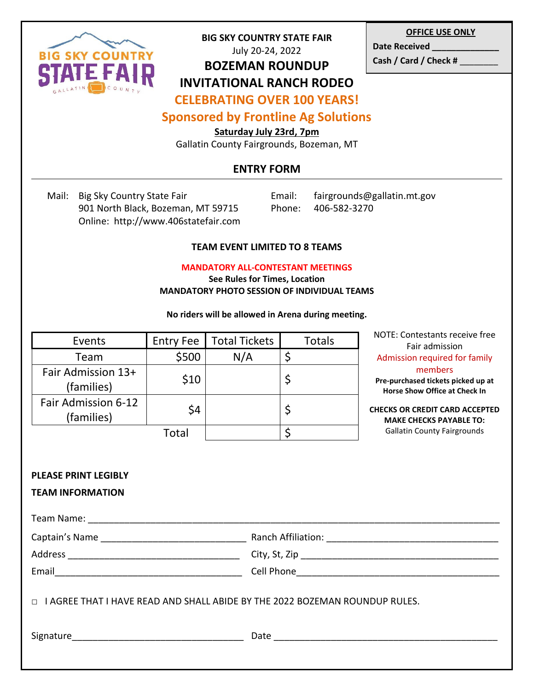

### **BIG SKY COUNTRY STATE FAIR** July 20-24, 2022

## **BOZEMAN ROUNDUP INVITATIONAL RANCH RODEO**

**OFFICE USE ONLY**

Date Received \_\_\_\_\_ **Cash / Card / Check #** \_\_\_\_\_\_\_\_

# **CELEBRATING OVER 100 YEARS!**

# **Sponsored by Frontline Ag Solutions**

**Saturday July 23rd, 7pm**

Gallatin County Fairgrounds, Bozeman, MT

# **ENTRY FORM**

Mail: Big Sky Country State Fair **Email:** fairgrounds@gallatin.mt.gov 901 North Black, Bozeman, MT 59715 Phone: 406-582-3270 Online: http://www.406statefair.com

### **TEAM EVENT LIMITED TO 8 TEAMS**

#### **MANDATORY ALL-CONTESTANT MEETINGS**

**See Rules for Times, Location MANDATORY PHOTO SESSION OF INDIVIDUAL TEAMS**

#### **No riders will be allowed in Arena during meeting.**

| Events                            | <b>Entry Fee</b> | <b>Total Tickets</b> | <b>Totals</b> |
|-----------------------------------|------------------|----------------------|---------------|
| Team                              | \$500            | N/A                  |               |
| Fair Admission 13+<br>(families)  | \$10             |                      |               |
| Fair Admission 6-12<br>(families) | \$4              |                      |               |
|                                   | Total            |                      |               |

NOTE: Contestants receive free Fair admission Admission required for family members **Pre-purchased tickets picked up at Horse Show Office at Check In**

**CHECKS OR CREDIT CARD ACCEPTED MAKE CHECKS PAYABLE TO:**  Gallatin County Fairgrounds

#### **PLEASE PRINT LEGIBLY**

### **TEAM INFORMATION**

| Email <u>________________________________</u>                                      |  |  |  |  |
|------------------------------------------------------------------------------------|--|--|--|--|
| $\Box$ I AGREE THAT I HAVE READ AND SHALL ABIDE BY THE 2022 BOZEMAN ROUNDUP RULES. |  |  |  |  |
|                                                                                    |  |  |  |  |
|                                                                                    |  |  |  |  |